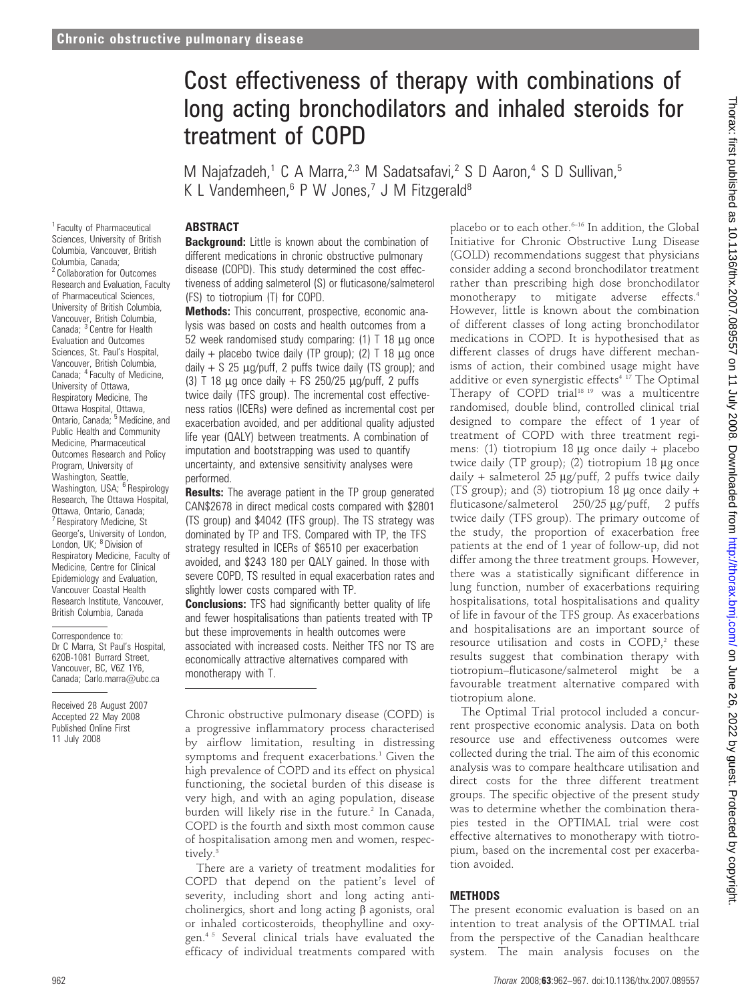# Cost effectiveness of therapy with combinations of long acting bronchodilators and inhaled steroids for treatment of COPD

M Najafzadeh,<sup>1</sup> C A Marra,<sup>2,3</sup> M Sadatsafavi,<sup>2</sup> S D Aaron,<sup>4</sup> S D Sullivan,<sup>5</sup> K L Vandemheen,  $6$  P W Jones,  $7$  J M Fitzgerald  $8$ 

# **ABSTRACT**

**Background:** Little is known about the combination of different medications in chronic obstructive pulmonary disease (COPD). This study determined the cost effectiveness of adding salmeterol (S) or fluticasone/salmeterol (FS) to tiotropium (T) for COPD.

Methods: This concurrent, prospective, economic analysis was based on costs and health outcomes from a 52 week randomised study comparing:  $(1)$  T 18  $\mu$ g once daily + placebo twice daily (TP group); (2) T 18  $\mu$ g once daily  $+ S 25 \mu g$ /puff, 2 puffs twice daily (TS group); and (3) T 18  $\mu$ g once daily + FS 250/25  $\mu$ g/puff, 2 puffs twice daily (TFS group). The incremental cost effectiveness ratios (ICERs) were defined as incremental cost per exacerbation avoided, and per additional quality adjusted life year (QALY) between treatments. A combination of imputation and bootstrapping was used to quantify uncertainty, and extensive sensitivity analyses were performed.

**Results:** The average patient in the TP group generated CAN\$2678 in direct medical costs compared with \$2801 (TS group) and \$4042 (TFS group). The TS strategy was dominated by TP and TFS. Compared with TP, the TFS strategy resulted in ICERs of \$6510 per exacerbation avoided, and \$243 180 per QALY gained. In those with severe COPD, TS resulted in equal exacerbation rates and slightly lower costs compared with TP.

**Conclusions:** TFS had significantly better quality of life and fewer hospitalisations than patients treated with TP but these improvements in health outcomes were associated with increased costs. Neither TFS nor TS are economically attractive alternatives compared with monotherapy with T.

Chronic obstructive pulmonary disease (COPD) is a progressive inflammatory process characterised by airflow limitation, resulting in distressing symptoms and frequent exacerbations.<sup>1</sup> Given the high prevalence of COPD and its effect on physical functioning, the societal burden of this disease is very high, and with an aging population, disease burden will likely rise in the future.<sup>2</sup> In Canada, COPD is the fourth and sixth most common cause of hospitalisation among men and women, respectively.<sup>3</sup>

There are a variety of treatment modalities for COPD that depend on the patient's level of severity, including short and long acting anticholinergics, short and long acting  $\beta$  agonists, oral or inhaled corticosteroids, theophylline and oxygen.4 5 Several clinical trials have evaluated the efficacy of individual treatments compared with

placebo or to each other.<sup>6-16</sup> In addition, the Global Initiative for Chronic Obstructive Lung Disease (GOLD) recommendations suggest that physicians consider adding a second bronchodilator treatment rather than prescribing high dose bronchodilator monotherapy to mitigate adverse effects.<sup>4</sup> However, little is known about the combination of different classes of long acting bronchodilator medications in COPD. It is hypothesised that as different classes of drugs have different mechanisms of action, their combined usage might have additive or even synergistic effects<sup>4 17</sup> The Optimal Therapy of COPD trial<sup>18 19</sup> was a multicentre randomised, double blind, controlled clinical trial designed to compare the effect of 1 year of treatment of COPD with three treatment regimens: (1) tiotropium 18  $\mu$ g once daily + placebo twice daily (TP group); (2) tiotropium  $18 \mu$ g once daily + salmeterol  $25 \mu$ g/puff, 2 puffs twice daily (TS group); and (3) tiotropium 18  $\mu$ g once daily + fluticasone/salmeterol  $250/25 \text{ \mu g/putf}$ , 2 puffs twice daily (TFS group). The primary outcome of the study, the proportion of exacerbation free patients at the end of 1 year of follow-up, did not differ among the three treatment groups. However, there was a statistically significant difference in lung function, number of exacerbations requiring hospitalisations, total hospitalisations and quality of life in favour of the TFS group. As exacerbations and hospitalisations are an important source of resource utilisation and costs in  $COPD$ ,<sup>2</sup> these results suggest that combination therapy with tiotropium–fluticasone/salmeterol might be a favourable treatment alternative compared with tiotropium alone.

The Optimal Trial protocol included a concurrent prospective economic analysis. Data on both resource use and effectiveness outcomes were collected during the trial. The aim of this economic analysis was to compare healthcare utilisation and direct costs for the three different treatment groups. The specific objective of the present study was to determine whether the combination therapies tested in the OPTIMAL trial were cost effective alternatives to monotherapy with tiotropium, based on the incremental cost per exacerbation avoided.

## **METHODS**

The present economic evaluation is based on an intention to treat analysis of the OPTIMAL trial from the perspective of the Canadian healthcare system. The main analysis focuses on the

University of British Columbia, Vancouver, British Columbia Canada; <sup>3</sup> Centre for Health Evaluation and Outcomes Sciences, St. Paul's Hospital, Vancouver, British Columbia, Canada; <sup>4</sup> Faculty of Medicine, University of Ottawa, Respiratory Medicine, The Ottawa Hospital, Ottawa, Ontario, Canada; <sup>5</sup> Medicine, and Public Health and Community Medicine, Pharmaceutical Outcomes Research and Policy Program, University of Washington, Seattle, Washington, USA; <sup>6</sup> Respirology Research, The Ottawa Hospital, Ottawa, Ontario, Canada; <sup>7</sup> Respiratory Medicine, St George's, University of London, London, UK; <sup>8</sup> Division of Respiratory Medicine, Faculty of Medicine, Centre for Clinical Epidemiology and Evaluation, Vancouver Coastal Health Research Institute, Vancouver, British Columbia, Canada

<sup>1</sup> Faculty of Pharmaceutical Sciences, University of British Columbia, Vancouver, British Columbia, Canada; <sup>2</sup> Collaboration for Outcomes Research and Evaluation, Faculty of Pharmaceutical Sciences,

Correspondence to: Dr C Marra, St Paul's Hospital, 620B-1081 Burrard Street, Vancouver, BC, V6Z 1Y6, Canada; Carlo.marra@ubc.ca

Received 28 August 2007 Accepted 22 May 2008 Published Online First 11 July 2008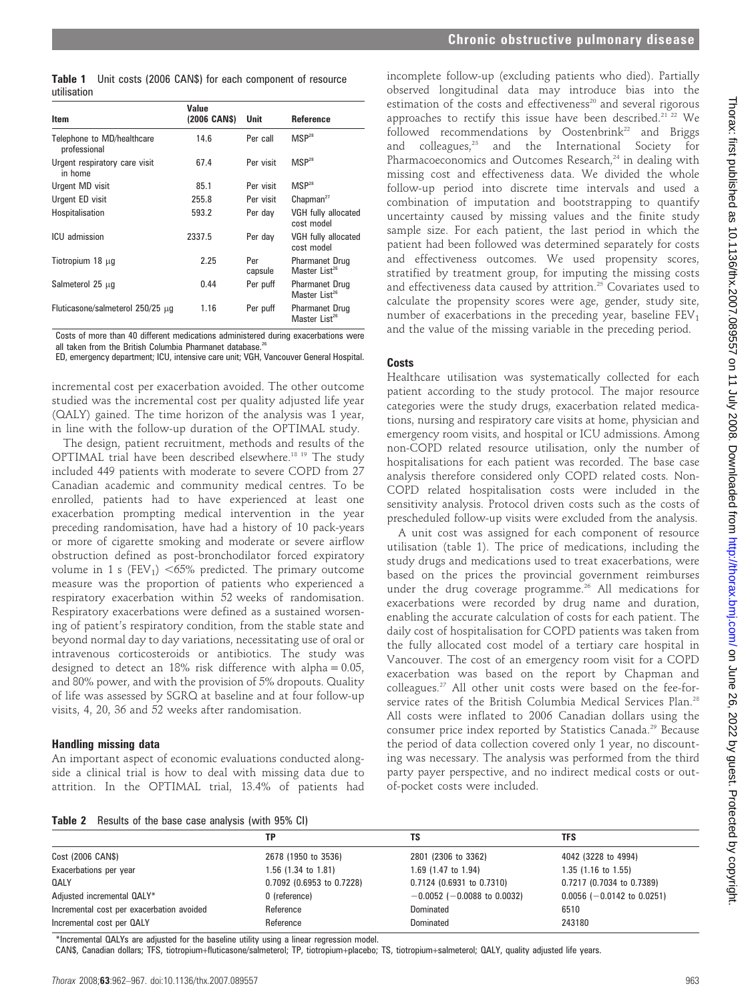|             |  |  |  | <b>Table 1</b> Unit costs (2006 CAN\$) for each component of resource |
|-------------|--|--|--|-----------------------------------------------------------------------|
| utilisation |  |  |  |                                                                       |

| <b>Item</b>                                | Value<br>(2006 CAN\$) | <b>Unit</b>    | <b>Reference</b>                                   |
|--------------------------------------------|-----------------------|----------------|----------------------------------------------------|
| Telephone to MD/healthcare<br>professional | 14.6                  | Per call       | MSP <sup>28</sup>                                  |
| Urgent respiratory care visit<br>in home   | 67.4                  | Per visit      | MSP <sup>28</sup>                                  |
| Urgent MD visit                            | 85.1                  | Per visit      | $MSP^{28}$                                         |
| Urgent ED visit                            | 255.8                 | Per visit      | Chapman <sup>27</sup>                              |
| Hospitalisation                            | 593.2                 | Per day        | VGH fully allocated<br>cost model                  |
| ICU admission                              | 2337.5                | Per day        | VGH fully allocated<br>cost model                  |
| Tiotropium 18 µg                           | 2.25                  | Per<br>capsule | <b>Pharmanet Drug</b><br>Master List <sup>26</sup> |
| Salmeterol 25 µg                           | 0.44                  | Per puff       | <b>Pharmanet Drug</b><br>Master List <sup>26</sup> |
| Fluticasone/salmeterol 250/25 μg           | 1.16                  | Per puff       | <b>Pharmanet Drug</b><br>Master List <sup>26</sup> |

Costs of more than 40 different medications administered during exacerbations were all taken from the British Columbia Pharmanet database.

ED, emergency department; ICU, intensive care unit; VGH, Vancouver General Hospital.

incremental cost per exacerbation avoided. The other outcome studied was the incremental cost per quality adjusted life year (QALY) gained. The time horizon of the analysis was 1 year, in line with the follow-up duration of the OPTIMAL study.

The design, patient recruitment, methods and results of the OPTIMAL trial have been described elsewhere.18 19 The study included 449 patients with moderate to severe COPD from 27 Canadian academic and community medical centres. To be enrolled, patients had to have experienced at least one exacerbation prompting medical intervention in the year preceding randomisation, have had a history of 10 pack-years or more of cigarette smoking and moderate or severe airflow obstruction defined as post-bronchodilator forced expiratory volume in 1 s (FEV<sub>1</sub>)  $<$  65% predicted. The primary outcome measure was the proportion of patients who experienced a respiratory exacerbation within 52 weeks of randomisation. Respiratory exacerbations were defined as a sustained worsening of patient's respiratory condition, from the stable state and beyond normal day to day variations, necessitating use of oral or intravenous corticosteroids or antibiotics. The study was designed to detect an 18% risk difference with alpha = 0.05, and 80% power, and with the provision of 5% dropouts. Quality of life was assessed by SGRQ at baseline and at four follow-up visits, 4, 20, 36 and 52 weeks after randomisation.

#### Handling missing data

An important aspect of economic evaluations conducted alongside a clinical trial is how to deal with missing data due to attrition. In the OPTIMAL trial, 13.4% of patients had

Table 2 Results of the base case analysis (with 95% CI)

incomplete follow-up (excluding patients who died). Partially observed longitudinal data may introduce bias into the estimation of the costs and effectiveness<sup>20</sup> and several rigorous approaches to rectify this issue have been described.<sup>21 22</sup> We followed recommendations by Oostenbrink<sup>22</sup> and Briggs and colleagues, $23$  and the International Society for Pharmacoeconomics and Outcomes Research.<sup>24</sup> in dealing with missing cost and effectiveness data. We divided the whole follow-up period into discrete time intervals and used a combination of imputation and bootstrapping to quantify uncertainty caused by missing values and the finite study sample size. For each patient, the last period in which the patient had been followed was determined separately for costs and effectiveness outcomes. We used propensity scores, stratified by treatment group, for imputing the missing costs and effectiveness data caused by attrition.<sup>25</sup> Covariates used to calculate the propensity scores were age, gender, study site, number of exacerbations in the preceding year, baseline  $FEV<sub>1</sub>$ and the value of the missing variable in the preceding period.

# **Costs**

Healthcare utilisation was systematically collected for each patient according to the study protocol. The major resource categories were the study drugs, exacerbation related medications, nursing and respiratory care visits at home, physician and emergency room visits, and hospital or ICU admissions. Among non-COPD related resource utilisation, only the number of hospitalisations for each patient was recorded. The base case analysis therefore considered only COPD related costs. Non-COPD related hospitalisation costs were included in the sensitivity analysis. Protocol driven costs such as the costs of prescheduled follow-up visits were excluded from the analysis.

A unit cost was assigned for each component of resource utilisation (table 1). The price of medications, including the study drugs and medications used to treat exacerbations, were based on the prices the provincial government reimburses under the drug coverage programme.<sup>26</sup> All medications for exacerbations were recorded by drug name and duration, enabling the accurate calculation of costs for each patient. The daily cost of hospitalisation for COPD patients was taken from the fully allocated cost model of a tertiary care hospital in Vancouver. The cost of an emergency room visit for a COPD exacerbation was based on the report by Chapman and colleagues.27 All other unit costs were based on the fee-forservice rates of the British Columbia Medical Services Plan.<sup>28</sup> All costs were inflated to 2006 Canadian dollars using the consumer price index reported by Statistics Canada.<sup>29</sup> Because the period of data collection covered only 1 year, no discounting was necessary. The analysis was performed from the third party payer perspective, and no indirect medical costs or outof-pocket costs were included.

|                                           | TP                        | TS                               | TFS                          |
|-------------------------------------------|---------------------------|----------------------------------|------------------------------|
| Cost (2006 CAN\$)                         | 2678 (1950 to 3536)       | 2801 (2306 to 3362)              | 4042 (3228 to 4994)          |
| Exacerbations per year                    | 1.56 (1.34 to 1.81)       | 1.69 (1.47 to 1.94)              | 1.35 (1.16 to 1.55)          |
| <b>QALY</b>                               | 0.7092 (0.6953 to 0.7228) | 0.7124 (0.6931 to 0.7310)        | 0.7217 (0.7034 to 0.7389)    |
| Adjusted incremental QALY*                | 0 (reference)             | $-0.0052$ ( $-0.0088$ to 0.0032) | $0.0056$ (-0.0142 to 0.0251) |
| Incremental cost per exacerbation avoided | Reference                 | Dominated                        | 6510                         |
| Incremental cost per QALY                 | Reference                 | Dominated                        | 243180                       |

\*Incremental QALYs are adjusted for the baseline utility using a linear regression model.

CAN\$, Canadian dollars; TFS, tiotropium+fluticasone/salmeterol; TP, tiotropium+placebo; TS, tiotropium+salmeterol; QALY, quality adjusted life years.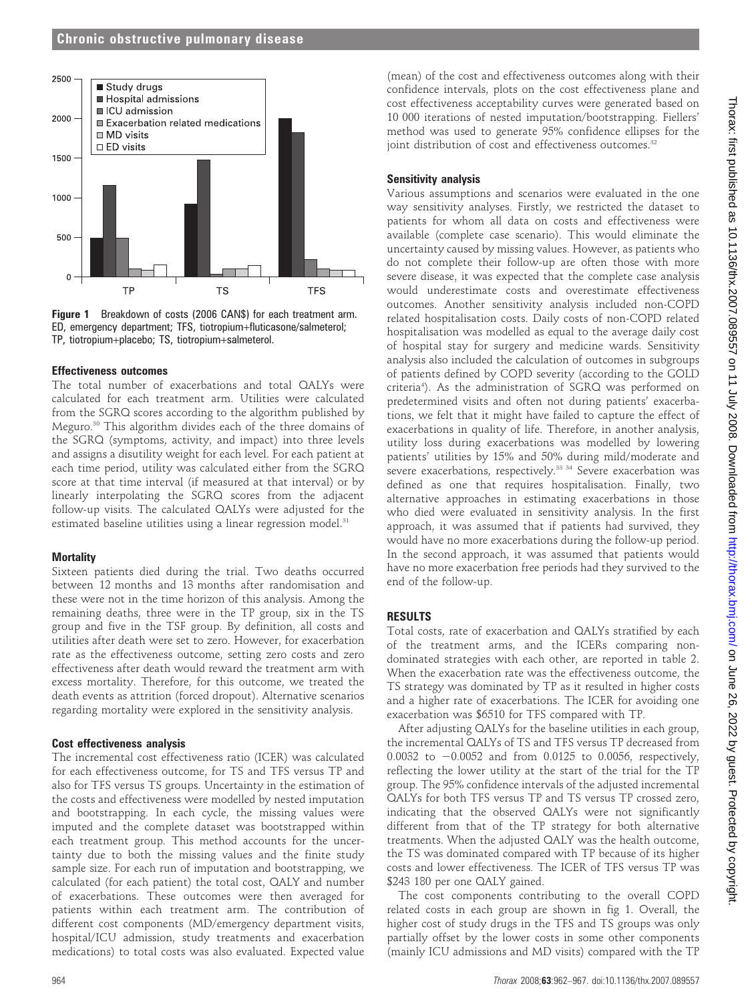

Figure 1 Breakdown of costs (2006 CAN\$) for each treatment arm. ED, emergency department; TFS, tiotropium+fluticasone/salmeterol; TP, tiotropium+placebo; TS, tiotropium+salmeterol.

## Effectiveness outcomes

The total number of exacerbations and total QALYs were calculated for each treatment arm. Utilities were calculated from the SGRQ scores according to the algorithm published by Meguro.30 This algorithm divides each of the three domains of the SGRQ (symptoms, activity, and impact) into three levels and assigns a disutility weight for each level. For each patient at each time period, utility was calculated either from the SGRQ score at that time interval (if measured at that interval) or by linearly interpolating the SGRQ scores from the adjacent follow-up visits. The calculated QALYs were adjusted for the estimated baseline utilities using a linear regression model.<sup>31</sup>

# **Mortality**

Sixteen patients died during the trial. Two deaths occurred between 12 months and 13 months after randomisation and these were not in the time horizon of this analysis. Among the remaining deaths, three were in the TP group, six in the TS group and five in the TSF group. By definition, all costs and utilities after death were set to zero. However, for exacerbation rate as the effectiveness outcome, setting zero costs and zero effectiveness after death would reward the treatment arm with excess mortality. Therefore, for this outcome, we treated the death events as attrition (forced dropout). Alternative scenarios regarding mortality were explored in the sensitivity analysis.

# Cost effectiveness analysis

The incremental cost effectiveness ratio (ICER) was calculated for each effectiveness outcome, for TS and TFS versus TP and also for TFS versus TS groups. Uncertainty in the estimation of the costs and effectiveness were modelled by nested imputation and bootstrapping. In each cycle, the missing values were imputed and the complete dataset was bootstrapped within each treatment group. This method accounts for the uncertainty due to both the missing values and the finite study sample size. For each run of imputation and bootstrapping, we calculated (for each patient) the total cost, QALY and number of exacerbations. These outcomes were then averaged for patients within each treatment arm. The contribution of different cost components (MD/emergency department visits, hospital/ICU admission, study treatments and exacerbation medications) to total costs was also evaluated. Expected value

(mean) of the cost and effectiveness outcomes along with their confidence intervals, plots on the cost effectiveness plane and cost effectiveness acceptability curves were generated based on 10 000 iterations of nested imputation/bootstrapping. Fiellers' method was used to generate 95% confidence ellipses for the joint distribution of cost and effectiveness outcomes.<sup>32</sup>

# Sensitivity analysis

Various assumptions and scenarios were evaluated in the one way sensitivity analyses. Firstly, we restricted the dataset to patients for whom all data on costs and effectiveness were available (complete case scenario). This would eliminate the uncertainty caused by missing values. However, as patients who do not complete their follow-up are often those with more severe disease, it was expected that the complete case analysis would underestimate costs and overestimate effectiveness outcomes. Another sensitivity analysis included non-COPD related hospitalisation costs. Daily costs of non-COPD related hospitalisation was modelled as equal to the average daily cost of hospital stay for surgery and medicine wards. Sensitivity analysis also included the calculation of outcomes in subgroups of patients defined by COPD severity (according to the GOLD criteria4 ). As the administration of SGRQ was performed on predetermined visits and often not during patients' exacerbations, we felt that it might have failed to capture the effect of exacerbations in quality of life. Therefore, in another analysis, utility loss during exacerbations was modelled by lowering patients' utilities by 15% and 50% during mild/moderate and severe exacerbations, respectively.<sup>33 34</sup> Severe exacerbation was defined as one that requires hospitalisation. Finally, two alternative approaches in estimating exacerbations in those who died were evaluated in sensitivity analysis. In the first approach, it was assumed that if patients had survived, they would have no more exacerbations during the follow-up period. In the second approach, it was assumed that patients would have no more exacerbation free periods had they survived to the end of the follow-up.

# RESULTS

Total costs, rate of exacerbation and QALYs stratified by each of the treatment arms, and the ICERs comparing nondominated strategies with each other, are reported in table 2. When the exacerbation rate was the effectiveness outcome, the TS strategy was dominated by TP as it resulted in higher costs and a higher rate of exacerbations. The ICER for avoiding one exacerbation was \$6510 for TFS compared with TP.

After adjusting QALYs for the baseline utilities in each group, the incremental QALYs of TS and TFS versus TP decreased from 0.0032 to  $-0.0052$  and from 0.0125 to 0.0056, respectively, reflecting the lower utility at the start of the trial for the TP group. The 95% confidence intervals of the adjusted incremental QALYs for both TFS versus TP and TS versus TP crossed zero, indicating that the observed QALYs were not significantly different from that of the TP strategy for both alternative treatments. When the adjusted QALY was the health outcome, the TS was dominated compared with TP because of its higher costs and lower effectiveness. The ICER of TFS versus TP was \$243 180 per one QALY gained.

The cost components contributing to the overall COPD related costs in each group are shown in fig 1. Overall, the higher cost of study drugs in the TFS and TS groups was only partially offset by the lower costs in some other components (mainly ICU admissions and MD visits) compared with the TP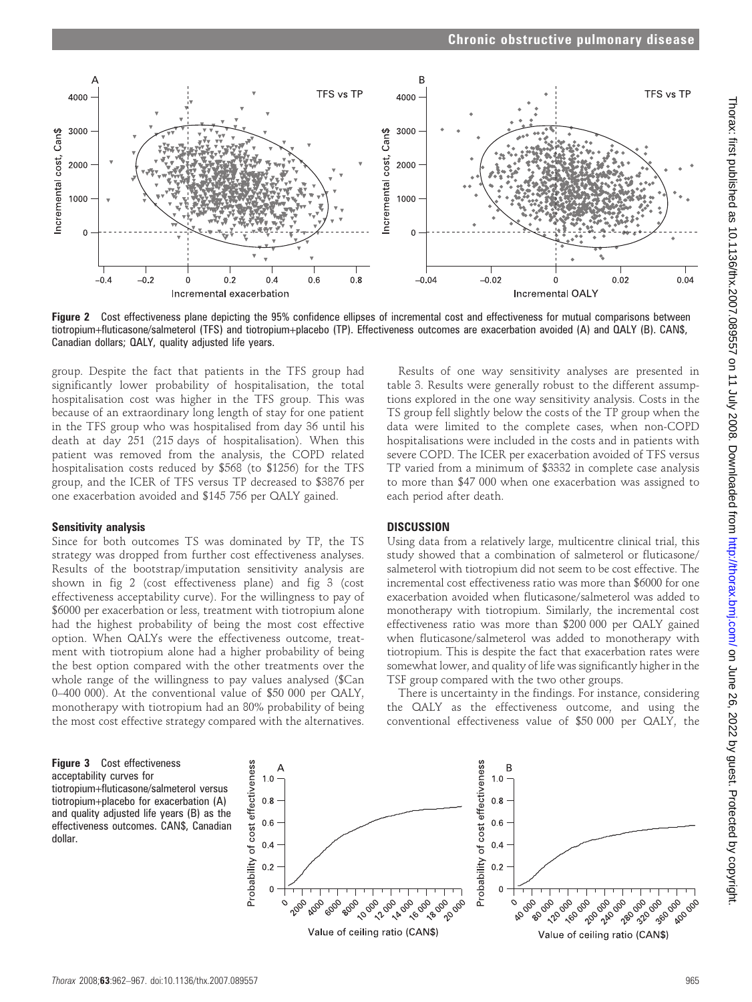

Figure 2 Cost effectiveness plane depicting the 95% confidence ellipses of incremental cost and effectiveness for mutual comparisons between tiotropium+fluticasone/salmeterol (TFS) and tiotropium+placebo (TP). Effectiveness outcomes are exacerbation avoided (A) and QALY (B). CAN\$, Canadian dollars; QALY, quality adjusted life years.

group. Despite the fact that patients in the TFS group had significantly lower probability of hospitalisation, the total hospitalisation cost was higher in the TFS group. This was because of an extraordinary long length of stay for one patient in the TFS group who was hospitalised from day 36 until his death at day 251 (215 days of hospitalisation). When this patient was removed from the analysis, the COPD related hospitalisation costs reduced by \$568 (to \$1256) for the TFS group, and the ICER of TFS versus TP decreased to \$3876 per one exacerbation avoided and \$145 756 per QALY gained.

# Sensitivity analysis

Since for both outcomes TS was dominated by TP, the TS strategy was dropped from further cost effectiveness analyses. Results of the bootstrap/imputation sensitivity analysis are shown in fig 2 (cost effectiveness plane) and fig 3 (cost effectiveness acceptability curve). For the willingness to pay of \$6000 per exacerbation or less, treatment with tiotropium alone had the highest probability of being the most cost effective option. When QALYs were the effectiveness outcome, treatment with tiotropium alone had a higher probability of being the best option compared with the other treatments over the whole range of the willingness to pay values analysed (\$Can 0–400 000). At the conventional value of \$50 000 per QALY, monotherapy with tiotropium had an 80% probability of being the most cost effective strategy compared with the alternatives.

Results of one way sensitivity analyses are presented in table 3. Results were generally robust to the different assumptions explored in the one way sensitivity analysis. Costs in the TS group fell slightly below the costs of the TP group when the data were limited to the complete cases, when non-COPD hospitalisations were included in the costs and in patients with severe COPD. The ICER per exacerbation avoided of TFS versus TP varied from a minimum of \$3332 in complete case analysis to more than \$47 000 when one exacerbation was assigned to each period after death.

# **DISCUSSION**

Using data from a relatively large, multicentre clinical trial, this study showed that a combination of salmeterol or fluticasone/ salmeterol with tiotropium did not seem to be cost effective. The incremental cost effectiveness ratio was more than \$6000 for one exacerbation avoided when fluticasone/salmeterol was added to monotherapy with tiotropium. Similarly, the incremental cost effectiveness ratio was more than \$200 000 per QALY gained when fluticasone/salmeterol was added to monotherapy with tiotropium. This is despite the fact that exacerbation rates were somewhat lower, and quality of life was significantly higher in the TSF group compared with the two other groups.

There is uncertainty in the findings. For instance, considering the QALY as the effectiveness outcome, and using the conventional effectiveness value of \$50 000 per QALY, the





Value of ceiling ratio (CAN\$)

Value of ceiling ratio (CAN\$)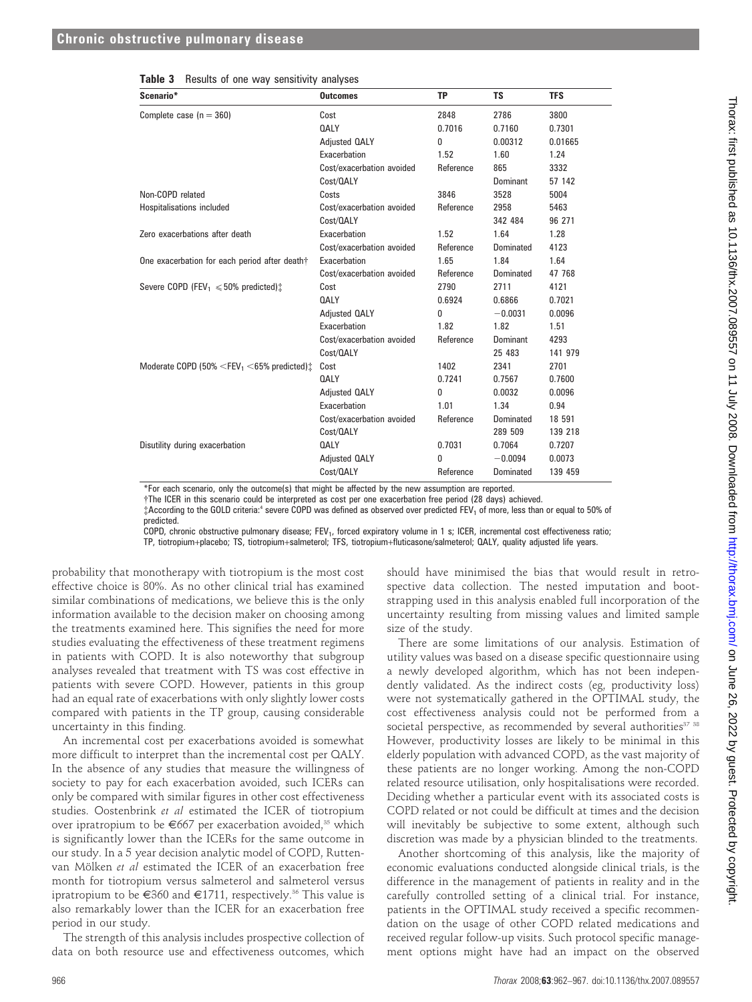| Table 3 Results of one way sensitivity analyses |
|-------------------------------------------------|
|-------------------------------------------------|

| Scenario*                                                                   | <b>Outcomes</b>           | <b>TP</b> | ΤS        | <b>TFS</b> |
|-----------------------------------------------------------------------------|---------------------------|-----------|-----------|------------|
| Complete case $(n = 360)$                                                   | Cost                      | 2848      | 2786      | 3800       |
|                                                                             | <b>QALY</b>               | 0.7016    | 0.7160    | 0.7301     |
|                                                                             | <b>Adjusted QALY</b>      | 0         | 0.00312   | 0.01665    |
|                                                                             | Exacerbation              | 1.52      | 1.60      | 1.24       |
|                                                                             | Cost/exacerbation avoided | Reference | 865       | 3332       |
|                                                                             | Cost/QALY                 |           | Dominant  | 57 142     |
| Non-COPD related                                                            | Costs                     | 3846      | 3528      | 5004       |
| Hospitalisations included                                                   | Cost/exacerbation avoided | Reference | 2958      | 5463       |
|                                                                             | Cost/QALY                 |           | 342 484   | 96 271     |
| Zero exacerbations after death                                              | Exacerbation              | 1.52      | 1.64      | 1.28       |
|                                                                             | Cost/exacerbation avoided | Reference | Dominated | 4123       |
| One exacerbation for each period after death†                               | Exacerbation              | 1.65      | 1.84      | 1.64       |
|                                                                             | Cost/exacerbation avoided | Reference | Dominated | 47 768     |
| Severe COPD (FEV <sub>1</sub> $\leqslant$ 50% predicted):                   | Cost                      | 2790      | 2711      | 4121       |
|                                                                             | <b>QALY</b>               | 0.6924    | 0.6866    | 0.7021     |
|                                                                             | Adjusted QALY             | 0         | $-0.0031$ | 0.0096     |
|                                                                             | Exacerbation              | 1.82      | 1.82      | 1.51       |
|                                                                             | Cost/exacerbation avoided | Reference | Dominant  | 4293       |
|                                                                             | Cost/QALY                 |           | 25 483    | 141 979    |
| Moderate COPD (50% $\leq$ FEV <sub>1</sub> $\leq$ 65% predicted) $\ddagger$ | Cost                      | 1402      | 2341      | 2701       |
|                                                                             | <b>QALY</b>               | 0.7241    | 0.7567    | 0.7600     |
|                                                                             | Adjusted QALY             | 0         | 0.0032    | 0.0096     |
|                                                                             | Exacerbation              | 1.01      | 1.34      | 0.94       |
|                                                                             | Cost/exacerbation avoided | Reference | Dominated | 18 591     |
|                                                                             | Cost/QALY                 |           | 289 509   | 139 218    |
| Disutility during exacerbation                                              | <b>QALY</b>               | 0.7031    | 0.7064    | 0.7207     |
|                                                                             | <b>Adjusted QALY</b>      | 0         | $-0.0094$ | 0.0073     |
|                                                                             | Cost/QALY                 | Reference | Dominated | 139 459    |

\*For each scenario, only the outcome(s) that might be affected by the new assumption are reported.

{The ICER in this scenario could be interpreted as cost per one exacerbation free period (28 days) achieved.

{According to the GOLD criteria:<sup>4</sup> severe COPD was defined as observed over predicted FEV1 of more, less than or equal to 50% of predicted.

COPD, chronic obstructive pulmonary disease; FEV<sub>1</sub>, forced expiratory volume in 1 s; ICER, incremental cost effectiveness ratio; TP, tiotropium+placebo; TS, tiotropium+salmeterol; TFS, tiotropium+fluticasone/salmeterol; QALY, quality adjusted life years.

probability that monotherapy with tiotropium is the most cost effective choice is 80%. As no other clinical trial has examined similar combinations of medications, we believe this is the only information available to the decision maker on choosing among the treatments examined here. This signifies the need for more studies evaluating the effectiveness of these treatment regimens in patients with COPD. It is also noteworthy that subgroup analyses revealed that treatment with TS was cost effective in patients with severe COPD. However, patients in this group had an equal rate of exacerbations with only slightly lower costs compared with patients in the TP group, causing considerable uncertainty in this finding.

An incremental cost per exacerbations avoided is somewhat more difficult to interpret than the incremental cost per QALY. In the absence of any studies that measure the willingness of society to pay for each exacerbation avoided, such ICERs can only be compared with similar figures in other cost effectiveness studies. Oostenbrink et al estimated the ICER of tiotropium over ipratropium to be  $\epsilon$ 667 per exacerbation avoided,<sup>35</sup> which is significantly lower than the ICERs for the same outcome in our study. In a 5 year decision analytic model of COPD, Ruttenvan Mölken et al estimated the ICER of an exacerbation free month for tiotropium versus salmeterol and salmeterol versus ipratropium to be  $\epsilon$ 360 and  $\epsilon$ 1711, respectively.<sup>36</sup> This value is also remarkably lower than the ICER for an exacerbation free period in our study.

The strength of this analysis includes prospective collection of data on both resource use and effectiveness outcomes, which

should have minimised the bias that would result in retrospective data collection. The nested imputation and bootstrapping used in this analysis enabled full incorporation of the uncertainty resulting from missing values and limited sample size of the study.

There are some limitations of our analysis. Estimation of utility values was based on a disease specific questionnaire using a newly developed algorithm, which has not been independently validated. As the indirect costs (eg, productivity loss) were not systematically gathered in the OPTIMAL study, the cost effectiveness analysis could not be performed from a societal perspective, as recommended by several authorities<sup>37 38</sup> However, productivity losses are likely to be minimal in this elderly population with advanced COPD, as the vast majority of these patients are no longer working. Among the non-COPD related resource utilisation, only hospitalisations were recorded. Deciding whether a particular event with its associated costs is COPD related or not could be difficult at times and the decision will inevitably be subjective to some extent, although such discretion was made by a physician blinded to the treatments.

Another shortcoming of this analysis, like the majority of economic evaluations conducted alongside clinical trials, is the difference in the management of patients in reality and in the carefully controlled setting of a clinical trial. For instance, patients in the OPTIMAL study received a specific recommendation on the usage of other COPD related medications and received regular follow-up visits. Such protocol specific management options might have had an impact on the observed